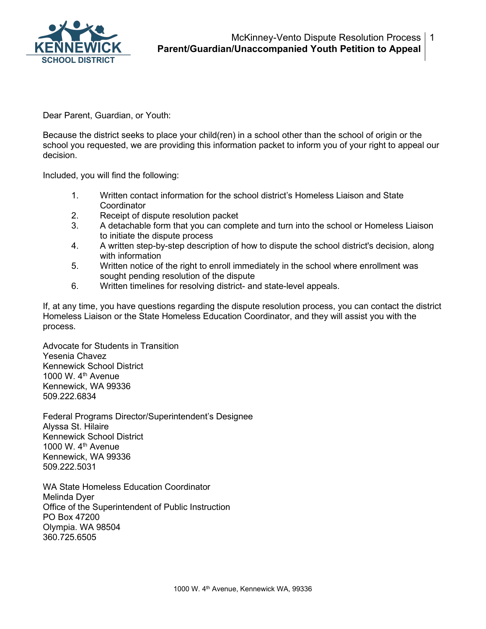

Dear Parent, Guardian, or Youth:

Because the district seeks to place your child(ren) in a school other than the school of origin or the school you requested, we are providing this information packet to inform you of your right to appeal our decision.

Included, you will find the following:

- 1. Written contact information for the school district's Homeless Liaison and State **Coordinator**
- 2. Receipt of dispute resolution packet
- 3. A detachable form that you can complete and turn into the school or Homeless Liaison to initiate the dispute process
- 4. A written step-by-step description of how to dispute the school district's decision, along with information
- 5. Written notice of the right to enroll immediately in the school where enrollment was sought pending resolution of the dispute
- 6. Written timelines for resolving district- and state-level appeals.

If, at any time, you have questions regarding the dispute resolution process, you can contact the district Homeless Liaison or the State Homeless Education Coordinator, and they will assist you with the process.

Advocate for Students in Transition Yesenia Chavez Kennewick School District 1000 W. 4th Avenue Kennewick, WA 99336 509.222.6834

Federal Programs Director/Superintendent's Designee Alyssa St. Hilaire Kennewick School District 1000 W. 4<sup>th</sup> Avenue Kennewick, WA 99336 509.222.5031

WA State Homeless Education Coordinator Melinda Dyer Office of the Superintendent of Public Instruction PO Box 47200 Olympia. WA 98504 360.725.6505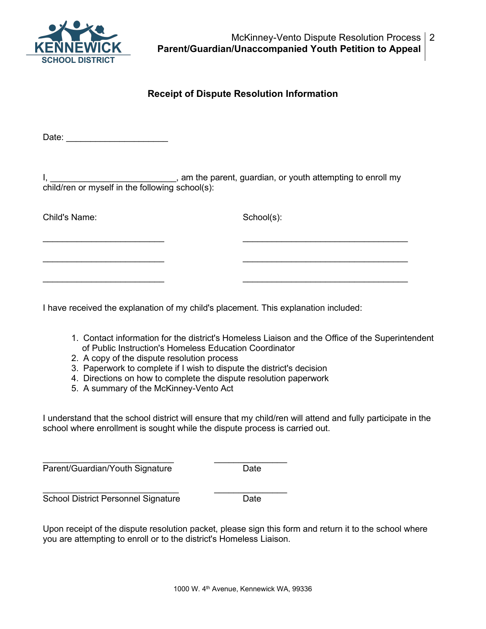

## **Receipt of Dispute Resolution Information**

Date: \_\_\_\_\_\_\_\_\_\_\_\_\_\_\_\_\_\_\_\_\_

I, \_\_\_\_\_\_\_\_\_\_\_\_\_\_\_\_\_\_\_\_\_\_\_\_\_\_\_\_\_, am the parent, guardian, or youth attempting to enroll my child/ren or myself in the following school(s):

 $\_$  , and the contribution of the contribution of  $\_$  . The contribution of  $\_$  ,  $\_$  ,  $\_$  ,  $\_$  ,  $\_$  ,  $\_$  ,  $\_$  ,  $\_$  ,  $\_$  ,  $\_$  ,  $\_$  ,  $\_$  ,  $\_$  ,  $\_$  ,  $\_$  ,  $\_$  ,  $\_$  ,  $\_$  ,  $\_$  ,  $\_$  ,  $\_$  ,  $\_$  ,  $\_$  ,  $\_$  ,

 $\overline{\phantom{a}}$  , and the contribution of the contribution of the contribution of the contribution of the contribution of the contribution of the contribution of the contribution of the contribution of the contribution of the

 $\_$  , and the contribution of the contribution of  $\_$  . The contribution of  $\_$  ,  $\_$  ,  $\_$  ,  $\_$  ,  $\_$  ,  $\_$  ,  $\_$  ,  $\_$  ,  $\_$  ,  $\_$  ,  $\_$  ,  $\_$  ,  $\_$  ,  $\_$  ,  $\_$  ,  $\_$  ,  $\_$  ,  $\_$  ,  $\_$  ,  $\_$  ,  $\_$  ,  $\_$  ,  $\_$  ,  $\_$  ,

Child's Name: School(s):

I have received the explanation of my child's placement. This explanation included:

- 1. Contact information for the district's Homeless Liaison and the Office of the Superintendent of Public Instruction's Homeless Education Coordinator
- 2. A copy of the dispute resolution process
- 3. Paperwork to complete if I wish to dispute the district's decision
- 4. Directions on how to complete the dispute resolution paperwork
- 5. A summary of the McKinney-Vento Act

I understand that the school district will ensure that my child/ren will attend and fully participate in the school where enrollment is sought while the dispute process is carried out.

\_\_\_\_\_\_\_\_\_\_\_\_\_\_\_\_\_\_\_\_\_\_\_\_\_\_\_ \_\_\_\_\_\_\_\_\_\_\_\_\_\_\_ Parent/Guardian/Youth Signature Date

\_\_\_\_\_\_\_\_\_\_\_\_\_\_\_\_\_\_\_\_\_\_\_\_\_\_\_\_ \_\_\_\_\_\_\_\_\_\_\_\_\_\_\_ School District Personnel Signature Date

Upon receipt of the dispute resolution packet, please sign this form and return it to the school where you are attempting to enroll or to the district's Homeless Liaison.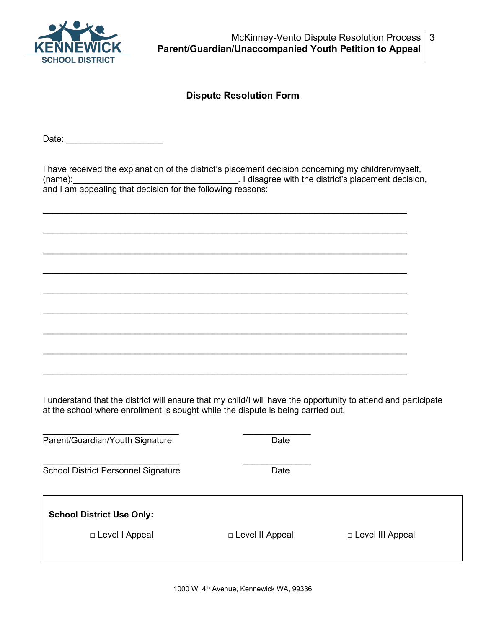

McKinney-Vento Dispute Resolution Process 3 **Parent/Guardian/Unaccompanied Youth Petition to Appeal**

## **Dispute Resolution Form**

Date: \_\_\_\_\_\_\_\_\_\_\_\_\_\_\_\_\_\_\_\_

I have received the explanation of the district's placement decision concerning my children/myself, (name):  $\blacksquare$  (name):  $\blacksquare$   $\blacksquare$  and  $\blacksquare$  and  $\blacksquare$  and  $\blacksquare$  and  $\blacksquare$  and  $\blacksquare$  and  $\blacksquare$  and  $\blacksquare$  and  $\blacksquare$  and  $\blacksquare$  and  $\blacksquare$  and  $\blacksquare$  and  $\blacksquare$  and  $\blacksquare$  and  $\blacksquare$  and  $\blacksquare$  and  $\blacksquare$  and  $\blacksquare$ and I am appealing that decision for the following reasons:

 $\mathcal{L}_\text{max}$  , and the set of the set of the set of the set of the set of the set of the set of the set of the set of the set of the set of the set of the set of the set of the set of the set of the set of the set of the

 $\mathcal{L}_\text{max}$  , and the set of the set of the set of the set of the set of the set of the set of the set of the set of the set of the set of the set of the set of the set of the set of the set of the set of the set of the

 $\mathcal{L}_\text{max}$  , and the set of the set of the set of the set of the set of the set of the set of the set of the set of the set of the set of the set of the set of the set of the set of the set of the set of the set of the

 $\mathcal{L}_\text{max}$  , and the set of the set of the set of the set of the set of the set of the set of the set of the set of the set of the set of the set of the set of the set of the set of the set of the set of the set of the

 $\mathcal{L}_\text{max}$  , and the set of the set of the set of the set of the set of the set of the set of the set of the set of the set of the set of the set of the set of the set of the set of the set of the set of the set of the

 $\mathcal{L}_\text{max}$  , and the set of the set of the set of the set of the set of the set of the set of the set of the set of the set of the set of the set of the set of the set of the set of the set of the set of the set of the

 $\mathcal{L}_\text{max}$  , and the set of the set of the set of the set of the set of the set of the set of the set of the set of the set of the set of the set of the set of the set of the set of the set of the set of the set of the

 $\mathcal{L}_\text{max}$  , and the set of the set of the set of the set of the set of the set of the set of the set of the set of the set of the set of the set of the set of the set of the set of the set of the set of the set of the

 $\frac{1}{2}$  ,  $\frac{1}{2}$  ,  $\frac{1}{2}$  ,  $\frac{1}{2}$  ,  $\frac{1}{2}$  ,  $\frac{1}{2}$  ,  $\frac{1}{2}$  ,  $\frac{1}{2}$  ,  $\frac{1}{2}$  ,  $\frac{1}{2}$  ,  $\frac{1}{2}$  ,  $\frac{1}{2}$  ,  $\frac{1}{2}$  ,  $\frac{1}{2}$  ,  $\frac{1}{2}$  ,  $\frac{1}{2}$  ,  $\frac{1}{2}$  ,  $\frac{1}{2}$  ,  $\frac{1$ 

I understand that the district will ensure that my child/I will have the opportunity to attend and participate at the school where enrollment is sought while the dispute is being carried out.

| Parent/Guardian/Youth Signature                      | Date              |                    |
|------------------------------------------------------|-------------------|--------------------|
| <b>School District Personnel Signature</b>           | Date              |                    |
| <b>School District Use Only:</b><br>□ Level I Appeal | □ Level II Appeal | □ Level III Appeal |
|                                                      |                   |                    |